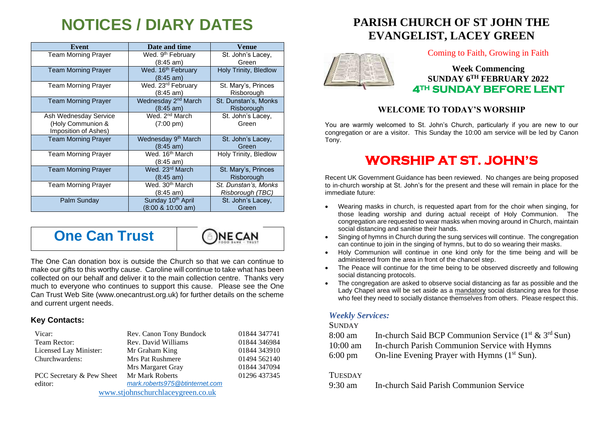# **NOTICES / DIARY DATES**

| Event                                                              | Date and time                                                 | <b>Venue</b>                             |
|--------------------------------------------------------------------|---------------------------------------------------------------|------------------------------------------|
| <b>Team Morning Prayer</b>                                         | Wed. 9 <sup>th</sup> February<br>$(8:45 \text{ am})$          | St. John's Lacey,<br>Green               |
| <b>Team Morning Prayer</b>                                         | Wed. 16 <sup>th</sup> February<br>$(8:45 \text{ am})$         | Holy Trinity, Bledlow                    |
| <b>Team Morning Prayer</b>                                         | Wed. 23 <sup>rd</sup> February<br>$(8:45 \text{ am})$         | St. Mary's, Princes<br>Risborough        |
| <b>Team Morning Prayer</b>                                         | Wednesday 2 <sup>nd</sup> March<br>$(8:45 \text{ am})$        | St. Dunstan's, Monks<br>Risborough       |
| Ash Wednesday Service<br>(Holy Communion &<br>Imposition of Ashes) | Wed. 2 <sup>nd</sup> March<br>$(7:00 \text{ pm})$             | St. John's Lacey,<br>Green               |
| <b>Team Morning Prayer</b>                                         | Wednesday 9 <sup>th</sup> March<br>$(8:45 \text{ am})$        | St. John's Lacey,<br>Green               |
| <b>Team Morning Prayer</b>                                         | Wed. 16 <sup>th</sup> March<br>$(8:45 \text{ am})$            | Holy Trinity, Bledlow                    |
| <b>Team Morning Prayer</b>                                         | Wed. 23 <sup>rd</sup> March<br>$(8:45 \text{ am})$            | St. Mary's, Princes<br>Risborough        |
| <b>Team Morning Prayer</b>                                         | Wed. 30 <sup>th</sup> March<br>$(8:45 \text{ am})$            | St. Dunstan's, Monks<br>Risborough (TBC) |
| Palm Sunday                                                        | Sunday 10 <sup>th</sup> April<br>$(8:00 \& 10:00 \text{ am})$ | St. John's Lacey,<br>Green               |

**One Can Trust** 



The One Can donation box is outside the Church so that we can continue to make our gifts to this worthy cause. Caroline will continue to take what has been collected on our behalf and deliver it to the main collection centre. Thanks very much to everyone who continues to support this cause. Please see the One Can Trust Web Site (www.onecantrust.org.uk) for further details on the scheme and current urgent needs.

#### **Key Contacts:**

| Vicar:                            | Rev. Canon Tony Bundock        | 01844 347741 |  |
|-----------------------------------|--------------------------------|--------------|--|
| Team Rector:                      | Rev. David Williams            | 01844 346984 |  |
| Licensed Lay Minister:            | Mr Graham King                 | 01844 343910 |  |
| Churchwardens:                    | <b>Mrs Pat Rushmere</b>        | 01494 562140 |  |
|                                   | Mrs Margaret Gray              | 01844 347094 |  |
| PCC Secretary & Pew Sheet         | Mr Mark Roberts                | 01296 437345 |  |
| editor:                           | mark.roberts975@btinternet.com |              |  |
| www.stjohnschurchlaceygreen.co.uk |                                |              |  |

## **PARISH CHURCH OF ST JOHN THE EVANGELIST, LACEY GREEN**



Coming to Faith, Growing in Faith

**Week Commencing SUNDAY 6TH FEBRUARY 2022 4TH SUNDAY BEFORE LENT** 

#### **WELCOME TO TODAY'S WORSHIP**

You are warmly welcomed to St. John's Church, particularly if you are new to our congregation or are a visitor. This Sunday the 10:00 am service will be led by Canon Tony.

# **WORSHIP AT ST. JOHN'S**

Recent UK Government Guidance has been reviewed. No changes are being proposed to in-church worship at St. John's for the present and these will remain in place for the immediate future:

- Wearing masks in church, is requested apart from for the choir when singing, for those leading worship and during actual receipt of Holy Communion. The congregation are requested to wear masks when moving around in Church, maintain social distancing and sanitise their hands.
- Singing of hymns in Church during the sung services will continue. The congregation can continue to join in the singing of hymns, but to do so wearing their masks.
- Holy Communion will continue in one kind only for the time being and will be administered from the area in front of the chancel step.
- The Peace will continue for the time being to be observed discreetly and following social distancing protocols.
- The congregation are asked to observe social distancing as far as possible and the Lady Chapel area will be set aside as a mandatory social distancing area for those who feel they need to socially distance themselves from others. Please respect this.

#### *Weekly Services:*

#### **SUNDAY**

- 8:00 am In-church Said BCP Communion Service  $(1<sup>st</sup> \& 3<sup>rd</sup> Sun)$
- 10:00 am In-church Parish Communion Service with Hymns
- 6:00 pm On-line Evening Prayer with Hymns  $(1<sup>st</sup> Sun)$ .

#### **TUESDAY**

9:30 am In-church Said Parish Communion Service